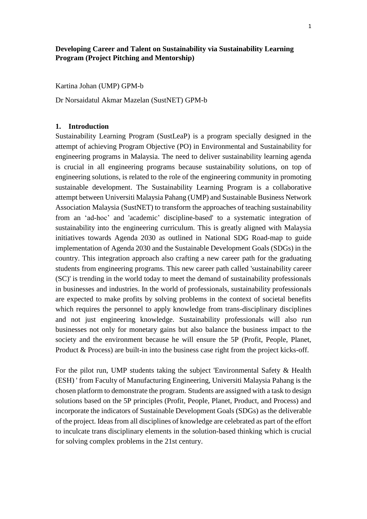## **Developing Career and Talent on Sustainability via Sustainability Learning Program (Project Pitching and Mentorship)**

Kartina Johan (UMP) GPM-b

Dr Norsaidatul Akmar Mazelan (SustNET) GPM-b

#### **1. Introduction**

Sustainability Learning Program (SustLeaP) is a program specially designed in the attempt of achieving Program Objective (PO) in Environmental and Sustainability for engineering programs in Malaysia. The need to deliver sustainability learning agenda is crucial in all engineering programs because sustainability solutions, on top of engineering solutions, is related to the role of the engineering community in promoting sustainable development. The Sustainability Learning Program is a collaborative attempt between Universiti Malaysia Pahang (UMP) and Sustainable Business Network Association Malaysia (SustNET) to transform the approaches of teaching sustainability from an 'ad-hoc' and 'academic' discipline-based' to a systematic integration of sustainability into the engineering curriculum. This is greatly aligned with Malaysia initiatives towards Agenda 2030 as outlined in National SDG Road-map to guide implementation of Agenda 2030 and the Sustainable Development Goals (SDGs) in the country. This integration approach also crafting a new career path for the graduating students from engineering programs. This new career path called 'sustainability career (SC)' is trending in the world today to meet the demand of sustainability professionals in businesses and industries. In the world of professionals, sustainability professionals are expected to make profits by solving problems in the context of societal benefits which requires the personnel to apply knowledge from trans-disciplinary disciplines and not just engineering knowledge. Sustainability professionals will also run businesses not only for monetary gains but also balance the business impact to the society and the environment because he will ensure the 5P (Profit, People, Planet, Product & Process) are built-in into the business case right from the project kicks-off.

For the pilot run, UMP students taking the subject 'Environmental Safety & Health (ESH) ' from Faculty of Manufacturing Engineering, Universiti Malaysia Pahang is the chosen platform to demonstrate the program. Students are assigned with a task to design solutions based on the 5P principles (Profit, People, Planet, Product, and Process) and incorporate the indicators of Sustainable Development Goals (SDGs) as the deliverable of the project. Ideas from all disciplines of knowledge are celebrated as part of the effort to inculcate trans disciplinary elements in the solution-based thinking which is crucial for solving complex problems in the 21st century.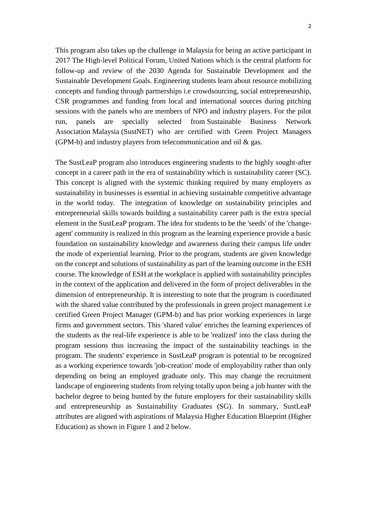This program also takes up the challenge in Malaysia for being an active participant in 2017 The High-level Political Forum, United Nations which is the central platform for follow-up and review of the 2030 Agenda for Sustainable Development and the Sustainable Development Goals. Engineering students learn about resource mobilizing concepts and funding through partnerships i.e crowdsourcing, social entrepreneurship, CSR programmes and funding from local and international sources during pitching sessions with the panels who are members of NPO and industry players. For the pilot run, panels are specially selected from Sustainable Business Network Association Malaysia (SustNET) who are certified with Green Project Managers (GPM-b) and industry players from telecommunication and oil & gas.

The SustLeaP program also introduces engineering students to the highly sought-after concept in a career path in the era of sustainability which is sustainability career (SC). This concept is aligned with the systemic thinking required by many employers as sustainability in businesses is essential in achieving sustainable competitive advantage in the world today. The integration of knowledge on sustainability principles and entrepreneurial skills towards building a sustainability career path is the extra special element in the SustLeaP program. The idea for students to be the 'seeds' of the 'changeagent' community is realized in this program as the learning experience provide a basic foundation on sustainability knowledge and awareness during their campus life under the mode of experiential learning. Prior to the program, students are given knowledge on the concept and solutions of sustainability as part of the learning outcome in the ESH course. The knowledge of ESH at the workplace is applied with sustainability principles in the context of the application and delivered in the form of project deliverables in the dimension of entrepreneurship. It is interesting to note that the program is coordinated with the shared value contributed by the professionals in green project management i.e. certified Green Project Manager (GPM-b) and has prior working experiences in large firms and government sectors. This 'shared value' enriches the learning experiences of the students as the real-life experience is able to be 'realized' into the class during the program sessions thus increasing the impact of the sustainability teachings in the program. The students' experience in SustLeaP program is potential to be recognized as a working experience towards 'job-creation' mode of employability rather than only depending on being an employed graduate only. This may change the recruitment landscape of engineering students from relying totally upon being a job hunter with the bachelor degree to being hunted by the future employers for their sustainability skills and entrepreneurship as Sustainability Graduates (SG). In summary, SustLeaP attributes are aligned with aspirations of Malaysia Higher Education Blueprint (Higher Education) as shown in Figure 1 and 2 below.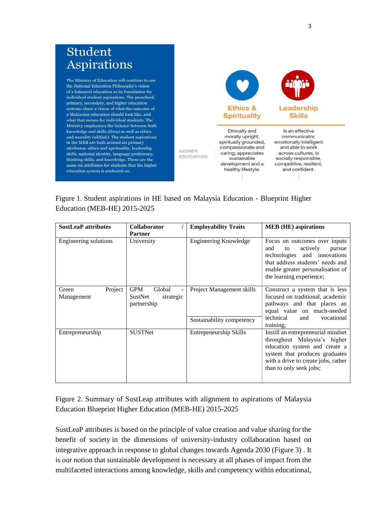

Figure 1. Student aspirations in HE based on Malaysia Education - Blueprint Higher Education (MEB-HE) 2015-2025

| <b>SustLeaP attributes</b>     | <b>Collaborator</b><br><b>Partner</b>                                         | <b>Employability Traits</b>                            | <b>MEB</b> (HE) aspirations                                                                                                                                                                                          |
|--------------------------------|-------------------------------------------------------------------------------|--------------------------------------------------------|----------------------------------------------------------------------------------------------------------------------------------------------------------------------------------------------------------------------|
| Engineering solutions          | University                                                                    | <b>Engineering Knowledge</b>                           | Focus on outcomes over inputs<br>actively<br>and<br>to<br>pursue<br>technologies and innovations<br>that address students' needs and<br>enable greater personalisation of<br>the learning experience;                |
| Project<br>Green<br>Management | <b>GPM</b><br>Global<br>$\blacksquare$<br>SustNet<br>strategic<br>partnership | Project Management skills<br>Sustainability competency | Construct a system that is less<br>focused on traditional, academic<br>pathways and that places an<br>equal value on much-needed<br>technical<br>and<br>vocational                                                   |
| Entrepreneurship               | <b>SUSTNet</b>                                                                | Entrepeneurship Skills                                 | training;<br>Instill an entrepreneurial mindset<br>throughout Malaysia's higher<br>education system and create a<br>system that produces graduates<br>with a drive to create jobs, rather<br>than to only seek jobs; |

Figure 2. Summary of SustLeap attributes with alignment to aspirations of Malaysia Education Blueprint Higher Education (MEB-HE) 2015-2025

SustLeaP attributes is based on the principle of value creation and value sharing for the benefit of society in the dimensions of university-industry collaboration based on integrative approach in response to global changes towards Agenda 2030 (Figure 3) . It is our notion that sustainable development is necessary at all phases of impact from the multifaceted interactions among knowledge, skills and competency within educational,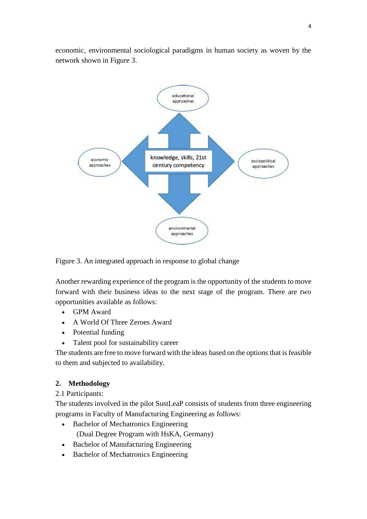economic, environmental sociological paradigms in human society as woven by the network shown in Figure 3.



Figure 3. An integrated approach in response to global change

Another rewarding experience of the program is the opportunity of the students to move forward with their business ideas to the next stage of the program. There are two opportunities available as follows:

- GPM Award
- A World Of Three Zeroes Award
- Potential funding
- Talent pool for sustainability career

The students are free to move forward with the ideas based on the options that is feasible to them and subjected to availability.

# **2. Methodology**

2.1 Participants:

The students involved in the pilot SustLeaP consists of students from three engineering programs in Faculty of Manufacturing Engineering as follows:

- Bachelor of Mechatronics Engineering (Dual Degree Program with HsKA, Germany)
- Bachelor of Manufacturing Engineering
- Bachelor of Mechatronics Engineering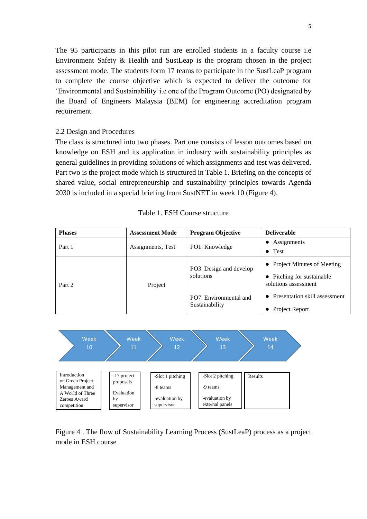The 95 participants in this pilot run are enrolled students in a faculty course i.e Environment Safety & Health and SustLeap is the program chosen in the project assessment mode. The students form 17 teams to participate in the SustLeaP program to complete the course objective which is expected to deliver the outcome for 'Environmental and Sustainability' i.e one of the Program Outcome (PO) designated by the Board of Engineers Malaysia (BEM) for engineering accreditation program requirement.

#### 2.2 Design and Procedures

The class is structured into two phases. Part one consists of lesson outcomes based on knowledge on ESH and its application in industry with sustainability principles as general guidelines in providing solutions of which assignments and test was delivered. Part two is the project mode which is structured in Table 1. Briefing on the concepts of shared value, social entrepreneurship and sustainability principles towards Agenda 2030 is included in a special briefing from SustNET in week 10 (Figure 4).

| <b>Phases</b> | <b>Assessment Mode</b> | <b>Program Objective</b>                 | <b>Deliverable</b>                                            |
|---------------|------------------------|------------------------------------------|---------------------------------------------------------------|
|               | Assignments, Test      |                                          | • Assignments                                                 |
| Part 1        |                        | PO1. Knowledge                           | $\bullet$ Test                                                |
| Part 2        | Project                | PO3. Design and develop                  | • Project Minutes of Meeting                                  |
|               |                        | solutions                                | Pitching for sustainable<br>$\bullet$<br>solutions assessment |
|               |                        | PO7. Environmental and<br>Sustainability | Presentation skill assessment                                 |
|               |                        |                                          | • Project Report                                              |
|               |                        |                                          |                                                               |





Figure 4 . The flow of Sustainability Learning Process (SustLeaP) process as a project mode in ESH course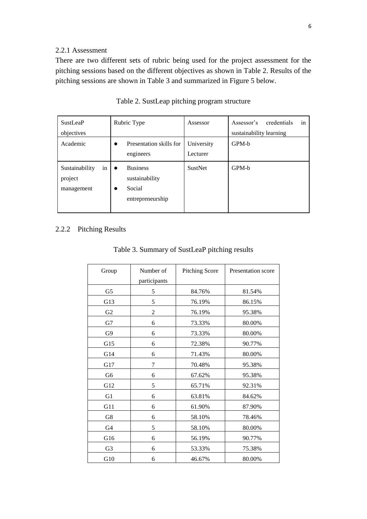### 2.2.1 Assessment

There are two different sets of rubric being used for the project assessment for the pitching sessions based on the different objectives as shown in Table 2. Results of the pitching sessions are shown in Table 3 and summarized in Figure 5 below.

| <b>SustLeaP</b>                               | Rubric Type                                                                               | Assessor               | in<br>credentials<br>Assessor's |
|-----------------------------------------------|-------------------------------------------------------------------------------------------|------------------------|---------------------------------|
| objectives                                    |                                                                                           |                        | sustainability learning         |
| Academic                                      | Presentation skills for<br>$\bullet$<br>engineers                                         | University<br>Lecturer | GPM-b                           |
| Sustainability<br>in<br>project<br>management | <b>Business</b><br>$\bullet$<br>sustainability<br>Social<br>$\bullet$<br>entrepreneurship | <b>SustNet</b>         | GPM-b                           |

Table 2. SustLeap pitching program structure

## 2.2.2 Pitching Results

|  | Table 3. Summary of SustLeaP pitching results |  |
|--|-----------------------------------------------|--|
|  |                                               |  |

| Group          | Number of      | <b>Pitching Score</b> | Presentation score |
|----------------|----------------|-----------------------|--------------------|
|                | participants   |                       |                    |
| G5             | 5              | 84.76%                | 81.54%             |
| G13            | 5              | 76.19%                | 86.15%             |
| G2             | $\overline{2}$ | 76.19%                | 95.38%             |
| G7             | 6              | 73.33%                | 80.00%             |
| G9             | 6              | 73.33%                | 80.00%             |
| G15            | 6              | 72.38%                | 90.77%             |
| G14            | 6              | 71.43%                | 80.00%             |
| G17            | 7              | 70.48%                | 95.38%             |
| G <sub>6</sub> | 6              | 67.62%                | 95.38%             |
| G12            | 5              | 65.71%                | 92.31%             |
| G1             | 6              | 63.81%                | 84.62%             |
| G11            | 6              | 61.90%                | 87.90%             |
| G8             | 6              | 58.10%                | 78.46%             |
| G4             | 5              | 58.10%                | 80.00%             |
| G16            | 6              | 56.19%                | 90.77%             |
| G <sub>3</sub> | 6              | 53.33%                | 75.38%             |
| G10            | 6              | 46.67%                | 80.00%             |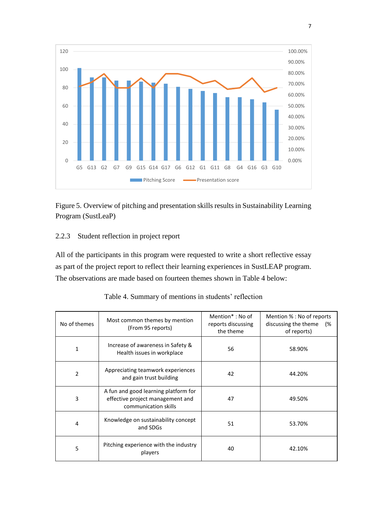

Figure 5. Overview of pitching and presentation skills results in Sustainability Learning Program (SustLeaP)

## 2.2.3 Student reflection in project report

All of the participants in this program were requested to write a short reflective essay as part of the project report to reflect their learning experiences in SustLEAP program. The observations are made based on fourteen themes shown in Table 4 below:

| No of themes   | Most common themes by mention<br>(From 95 reports)                                               | Mention <sup>*</sup> : No of<br>reports discussing<br>the theme | Mention % : No of reports<br>discussing the theme<br>(%<br>of reports) |
|----------------|--------------------------------------------------------------------------------------------------|-----------------------------------------------------------------|------------------------------------------------------------------------|
| 1              | Increase of awareness in Safety &<br>Health issues in workplace                                  | 56                                                              | 58.90%                                                                 |
| $\overline{2}$ | Appreciating teamwork experiences<br>and gain trust building                                     | 42                                                              | 44.20%                                                                 |
| 3              | A fun and good learning platform for<br>effective project management and<br>communication skills | 47                                                              | 49.50%                                                                 |
| 4              | Knowledge on sustainability concept<br>and SDGs                                                  | 51                                                              | 53.70%                                                                 |
| 5              | Pitching experience with the industry<br>players                                                 | 40                                                              | 42.10%                                                                 |

| Table 4. Summary of mentions in students' reflection |  |  |  |
|------------------------------------------------------|--|--|--|
|------------------------------------------------------|--|--|--|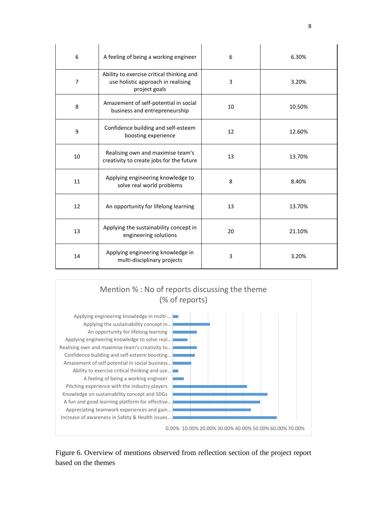| 6              | A feeling of being a working engineer                                                            | 6  | 6.30%  |
|----------------|--------------------------------------------------------------------------------------------------|----|--------|
| $\overline{7}$ | Ability to exercise critical thinking and<br>use holistic approach in realising<br>project goals | 3  | 3.20%  |
| 8              | Amazement of self-potential in social<br>business and entrepreneurship                           | 10 | 10.50% |
| 9              | Confidence building and self-esteem<br>boosting experience                                       | 12 | 12.60% |
| 10             | Realising own and maximise team's<br>creativity to create jobs for the future                    | 13 | 13.70% |
| 11             | Applying engineering knowledge to<br>solve real world problems                                   | 8  | 8.40%  |
| 12             | An opportunity for lifelong learning                                                             | 13 | 13.70% |
| 13             | Applying the sustainability concept in<br>engineering solutions                                  | 20 | 21.10% |
| 14             | Applying engineering knowledge in<br>multi-disciplinary projects                                 | 3  | 3.20%  |



Figure 6. Overview of mentions observed from reflection section of the project report based on the themes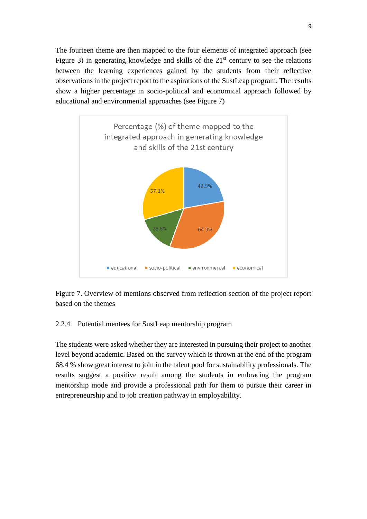The fourteen theme are then mapped to the four elements of integrated approach (see Figure 3) in generating knowledge and skills of the  $21<sup>st</sup>$  century to see the relations between the learning experiences gained by the students from their reflective observations in the project report to the aspirations of the SustLeap program. The results show a higher percentage in socio-political and economical approach followed by educational and environmental approaches (see Figure 7)



Figure 7. Overview of mentions observed from reflection section of the project report based on the themes

### 2.2.4 Potential mentees for SustLeap mentorship program

The students were asked whether they are interested in pursuing their project to another level beyond academic. Based on the survey which is thrown at the end of the program 68.4 % show great interest to join in the talent pool for sustainability professionals. The results suggest a positive result among the students in embracing the program mentorship mode and provide a professional path for them to pursue their career in entrepreneurship and to job creation pathway in employability.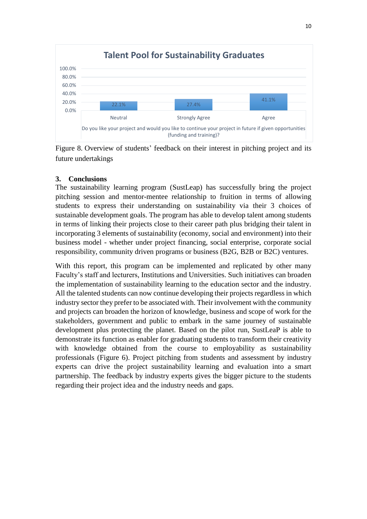

Figure 8. Overview of students' feedback on their interest in pitching project and its future undertakings

### **3. Conclusions**

The sustainability learning program (SustLeap) has successfully bring the project pitching session and mentor-mentee relationship to fruition in terms of allowing students to express their understanding on sustainability via their 3 choices of sustainable development goals. The program has able to develop talent among students in terms of linking their projects close to their career path plus bridging their talent in incorporating 3 elements of sustainability (economy, social and environment) into their business model - whether under project financing, social enterprise, corporate social responsibility, community driven programs or business (B2G, B2B or B2C) ventures.

With this report, this program can be implemented and replicated by other many Faculty's staff and lecturers, Institutions and Universities. Such initiatives can broaden the implementation of sustainability learning to the education sector and the industry. All the talented students can now continue developing their projects regardless in which industry sector they prefer to be associated with. Their involvement with the community and projects can broaden the horizon of knowledge, business and scope of work for the stakeholders, government and public to embark in the same journey of sustainable development plus protecting the planet. Based on the pilot run, SustLeaP is able to demonstrate its function as enabler for graduating students to transform their creativity with knowledge obtained from the course to employability as sustainability professionals (Figure 6). Project pitching from students and assessment by industry experts can drive the project sustainability learning and evaluation into a smart partnership. The feedback by industry experts gives the bigger picture to the students regarding their project idea and the industry needs and gaps.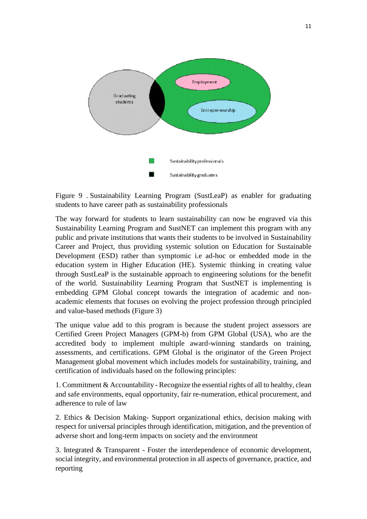

Figure 9 . Sustainability Learning Program (SustLeaP) as enabler for graduating students to have career path as sustainability professionals

The way forward for students to learn sustainability can now be engraved via this Sustainability Learning Program and SustNET can implement this program with any public and private institutions that wants their students to be involved in Sustainability Career and Project, thus providing systemic solution on Education for Sustainable Development (ESD) rather than symptomic i.e ad-hoc or embedded mode in the education system in Higher Education (HE). Systemic thinking in creating value through SustLeaP is the sustainable approach to engineering solutions for the benefit of the world. Sustainability Learning Program that SustNET is implementing is embedding GPM Global concept towards the integration of academic and nonacademic elements that focuses on evolving the project profession through principled and value-based methods (Figure 3)

The unique value add to this program is because the student project assessors are Certified Green Project Managers (GPM-b) from GPM Global (USA), who are the accredited body to implement multiple award-winning standards on training, assessments, and certifications. GPM Global is the originator of the Green Project Management global movement which includes models for sustainability, training, and certification of individuals based on the following principles:

1. Commitment & Accountability - Recognize the essential rights of all to healthy, clean and safe environments, equal opportunity, fair re-numeration, ethical procurement, and adherence to rule of law

2. Ethics & Decision Making- Support organizational ethics, decision making with respect for universal principles through identification, mitigation, and the prevention of adverse short and long-term impacts on society and the environment

3. Integrated & Transparent - Foster the interdependence of economic development, social integrity, and environmental protection in all aspects of governance, practice, and reporting